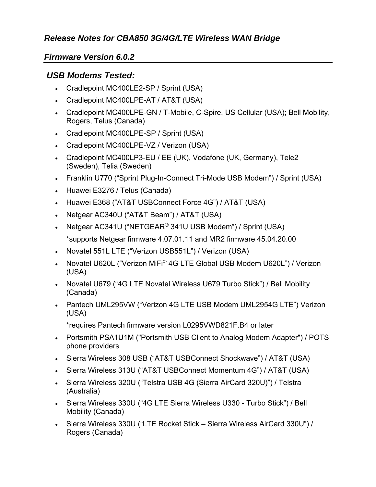## *Release Notes for CBA850 3G/4G/LTE Wireless WAN Bridge*

## *Firmware Version 6.0.2*

## *USB Modems Tested:*

- Cradlepoint MC400LE2-SP / Sprint (USA)
- Cradlepoint MC400LPE-AT / AT&T (USA)
- Cradlepoint MC400LPE-GN / T-Mobile, C-Spire, US Cellular (USA); Bell Mobility, Rogers, Telus (Canada)
- Cradlepoint MC400LPE-SP / Sprint (USA)
- Cradlepoint MC400LPE-VZ / Verizon (USA)
- Cradlepoint MC400LP3-EU / EE (UK), Vodafone (UK, Germany), Tele2 (Sweden), Telia (Sweden)
- Franklin U770 ("Sprint Plug-In-Connect Tri-Mode USB Modem") / Sprint (USA)
- Huawei E3276 / Telus (Canada)
- Huawei E368 ("AT&T USBConnect Force 4G") / AT&T (USA)
- Netgear AC340U ("AT&T Beam") / AT&T (USA)
- Netgear AC341U ("NETGEAR<sup>®</sup> 341U USB Modem") / Sprint (USA) \*supports Netgear firmware 4.07.01.11 and MR2 firmware 45.04.20.00
- Novatel 551L LTE ("Verizon USB551L") / Verizon (USA)
- Novatel U620L ("Verizon MiFi<sup>©</sup> 4G LTE Global USB Modem U620L") / Verizon (USA)
- Novatel U679 ("4G LTE Novatel Wireless U679 Turbo Stick") / Bell Mobility (Canada)
- Pantech UML295VW ("Verizon 4G LTE USB Modem UML2954G LTE") Verizon (USA)

\*requires Pantech firmware version L0295VWD821F.B4 or later

- Portsmith PSA1U1M ("Portsmith USB Client to Analog Modem Adapter") / POTS phone providers
- Sierra Wireless 308 USB ("AT&T USBConnect Shockwave") / AT&T (USA)
- Sierra Wireless 313U ("AT&T USBConnect Momentum 4G") / AT&T (USA)
- Sierra Wireless 320U ("Telstra USB 4G (Sierra AirCard 320U)") / Telstra (Australia)
- Sierra Wireless 330U ("4G LTE Sierra Wireless U330 Turbo Stick") / Bell Mobility (Canada)
- Sierra Wireless 330U ("LTE Rocket Stick Sierra Wireless AirCard 330U") / Rogers (Canada)